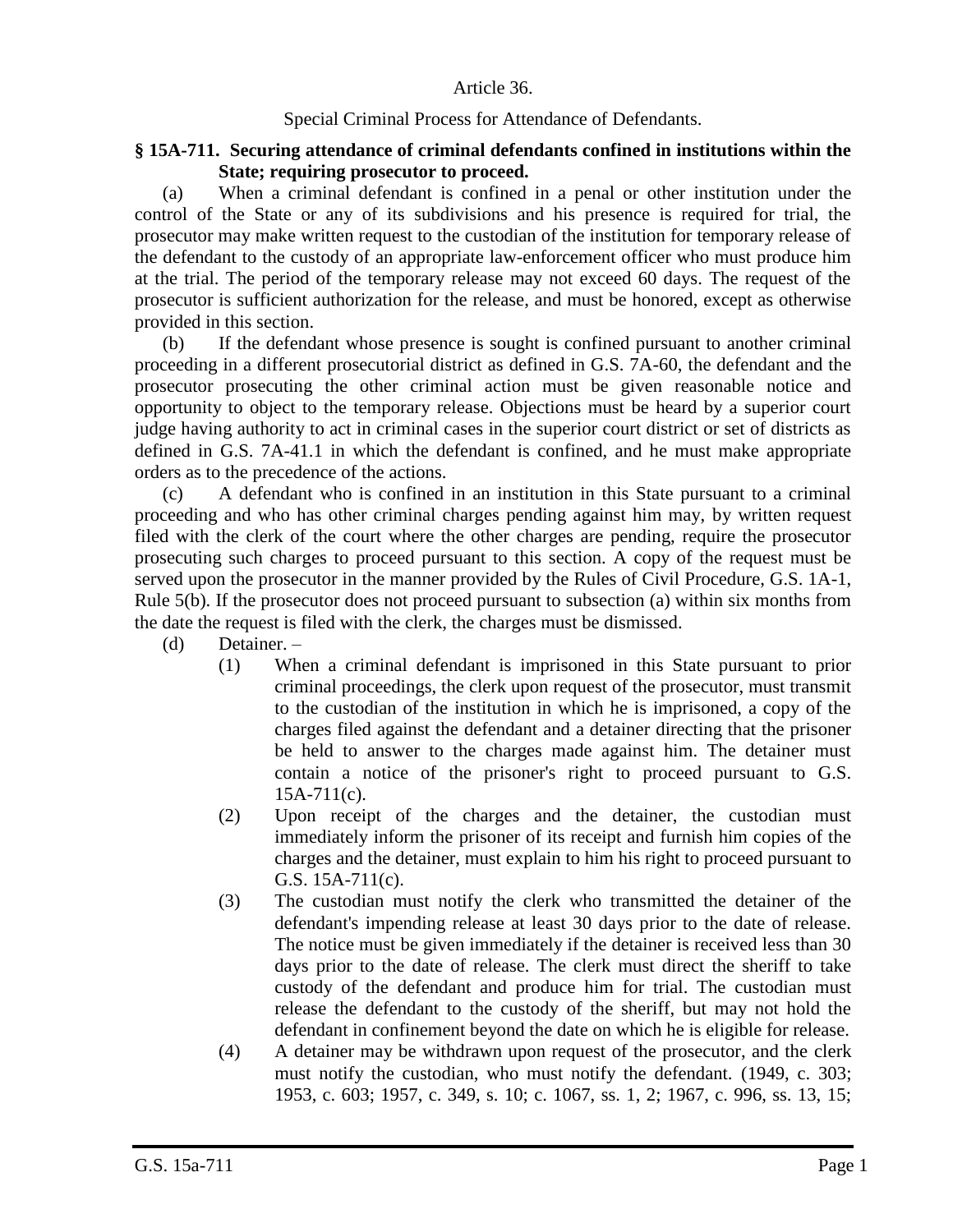## Article 36.

## Special Criminal Process for Attendance of Defendants.

## **§ 15A-711. Securing attendance of criminal defendants confined in institutions within the State; requiring prosecutor to proceed.**

(a) When a criminal defendant is confined in a penal or other institution under the control of the State or any of its subdivisions and his presence is required for trial, the prosecutor may make written request to the custodian of the institution for temporary release of the defendant to the custody of an appropriate law-enforcement officer who must produce him at the trial. The period of the temporary release may not exceed 60 days. The request of the prosecutor is sufficient authorization for the release, and must be honored, except as otherwise provided in this section.

(b) If the defendant whose presence is sought is confined pursuant to another criminal proceeding in a different prosecutorial district as defined in G.S. 7A-60, the defendant and the prosecutor prosecuting the other criminal action must be given reasonable notice and opportunity to object to the temporary release. Objections must be heard by a superior court judge having authority to act in criminal cases in the superior court district or set of districts as defined in G.S. 7A-41.1 in which the defendant is confined, and he must make appropriate orders as to the precedence of the actions.

(c) A defendant who is confined in an institution in this State pursuant to a criminal proceeding and who has other criminal charges pending against him may, by written request filed with the clerk of the court where the other charges are pending, require the prosecutor prosecuting such charges to proceed pursuant to this section. A copy of the request must be served upon the prosecutor in the manner provided by the Rules of Civil Procedure, G.S. 1A-1, Rule 5(b). If the prosecutor does not proceed pursuant to subsection (a) within six months from the date the request is filed with the clerk, the charges must be dismissed.

- (d) Detainer.
	- (1) When a criminal defendant is imprisoned in this State pursuant to prior criminal proceedings, the clerk upon request of the prosecutor, must transmit to the custodian of the institution in which he is imprisoned, a copy of the charges filed against the defendant and a detainer directing that the prisoner be held to answer to the charges made against him. The detainer must contain a notice of the prisoner's right to proceed pursuant to G.S.  $15A-711(c)$ .
	- (2) Upon receipt of the charges and the detainer, the custodian must immediately inform the prisoner of its receipt and furnish him copies of the charges and the detainer, must explain to him his right to proceed pursuant to G.S. 15A-711(c).
	- (3) The custodian must notify the clerk who transmitted the detainer of the defendant's impending release at least 30 days prior to the date of release. The notice must be given immediately if the detainer is received less than 30 days prior to the date of release. The clerk must direct the sheriff to take custody of the defendant and produce him for trial. The custodian must release the defendant to the custody of the sheriff, but may not hold the defendant in confinement beyond the date on which he is eligible for release.
	- (4) A detainer may be withdrawn upon request of the prosecutor, and the clerk must notify the custodian, who must notify the defendant. (1949, c. 303; 1953, c. 603; 1957, c. 349, s. 10; c. 1067, ss. 1, 2; 1967, c. 996, ss. 13, 15;